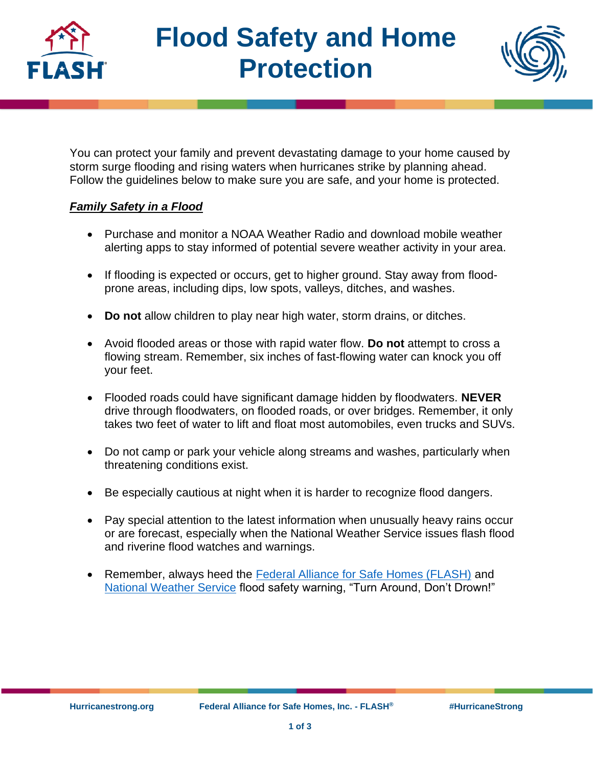

# **Flood Safety and Home Protection**



You can protect your family and prevent devastating damage to your home caused by storm surge flooding and rising waters when hurricanes strike by planning ahead. Follow the guidelines below to make sure you are safe, and your home is protected.

# *Family Safety in a Flood*

- Purchase and monitor a NOAA Weather Radio and download mobile weather alerting apps to stay informed of potential severe weather activity in your area.
- If flooding is expected or occurs, get to higher ground. Stay away from floodprone areas, including dips, low spots, valleys, ditches, and washes.
- **Do not** allow children to play near high water, storm drains, or ditches.
- Avoid flooded areas or those with rapid water flow. **Do not** attempt to cross a flowing stream. Remember, six inches of fast-flowing water can knock you off your feet.
- Flooded roads could have significant damage hidden by floodwaters. **NEVER** drive through floodwaters, on flooded roads, or over bridges. Remember, it only takes two feet of water to lift and float most automobiles, even trucks and SUVs.
- Do not camp or park your vehicle along streams and washes, particularly when threatening conditions exist.
- Be especially cautious at night when it is harder to recognize flood dangers.
- Pay special attention to the latest information when unusually heavy rains occur or are forecast, especially when the National Weather Service issues flash flood and riverine flood watches and warnings.
- Remember, always heed the [Federal Alliance for Safe Homes \(FLASH\)](https://flash.org/) and [National Weather Service](https://www.weather.gov/) flood safety warning, "Turn Around, Don't Drown!"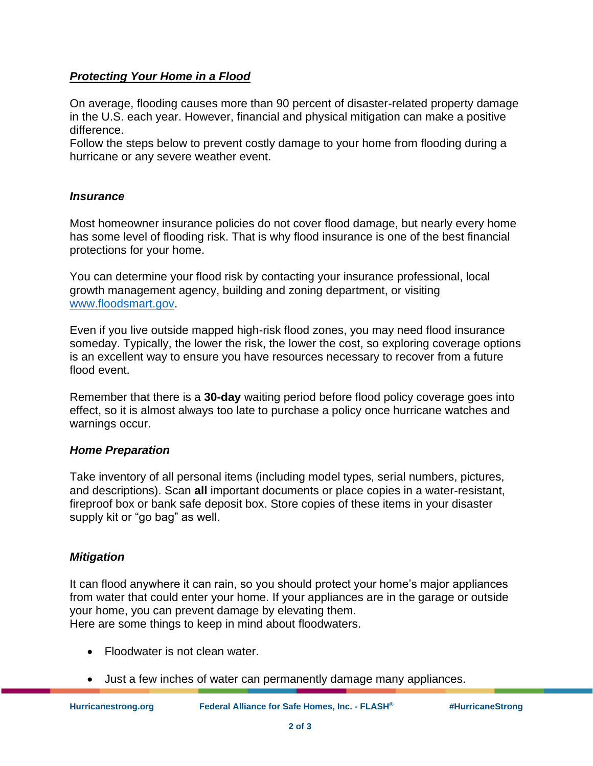## *Protecting Your Home in a Flood*

On average, flooding causes more than 90 percent of disaster-related property damage in the U.S. each year. However, financial and physical mitigation can make a positive difference.

Follow the steps below to prevent costly damage to your home from flooding during a hurricane or any severe weather event.

#### *Insurance*

Most homeowner insurance policies do not cover flood damage, but nearly every home has some level of flooding risk. That is why flood insurance is one of the best financial protections for your home.

You can determine your flood risk by contacting your insurance professional, local growth management agency, building and zoning department, or visiting [www.floodsmart.gov.](https://www.floodsmart.gov/)

Even if you live outside mapped high-risk flood zones, you may need flood insurance someday. Typically, the lower the risk, the lower the cost, so exploring coverage options is an excellent way to ensure you have resources necessary to recover from a future flood event.

Remember that there is a **30-day** waiting period before flood policy coverage goes into effect, so it is almost always too late to purchase a policy once hurricane watches and warnings occur.

## *Home Preparation*

Take inventory of all personal items (including model types, serial numbers, pictures, and descriptions). Scan **all** important documents or place copies in a water-resistant, fireproof box or bank safe deposit box. Store copies of these items in your disaster supply kit or "go bag" as well.

## *Mitigation*

It can flood anywhere it can rain, so you should protect your home's major appliances from water that could enter your home. If your appliances are in the garage or outside your home, you can prevent damage by elevating them. Here are some things to keep in mind about floodwaters.

- Floodwater is not clean water.
- Just a few inches of water can permanently damage many appliances.